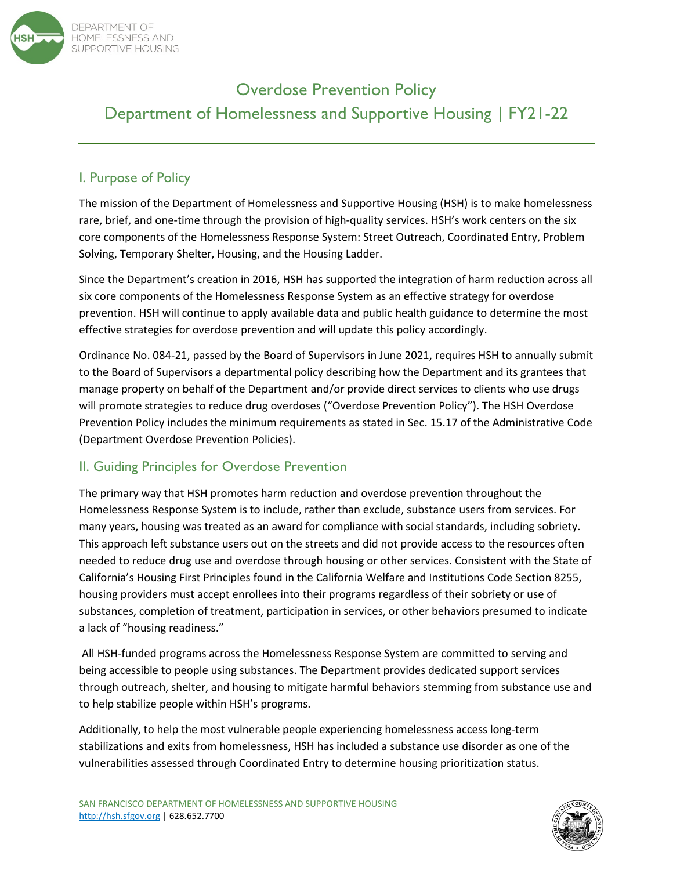

# Overdose Prevention Policy Department of Homelessness and Supportive Housing | FY21-22

## I. Purpose of Policy

The mission of the Department of Homelessness and Supportive Housing (HSH) is to make homelessness rare, brief, and one-time through the provision of high-quality services. HSH's work centers on the six core components of the Homelessness Response System: Street Outreach, Coordinated Entry, Problem Solving, Temporary Shelter, Housing, and the Housing Ladder.

Since the Department's creation in 2016, HSH has supported the integration of harm reduction across all six core components of the Homelessness Response System as an effective strategy for overdose prevention. HSH will continue to apply available data and public health guidance to determine the most effective strategies for overdose prevention and will update this policy accordingly.

Ordinance No. 084-21, passed by the Board of Supervisors in June 2021, requires HSH to annually submit to the Board of Supervisors a departmental policy describing how the Department and its grantees that manage property on behalf of the Department and/or provide direct services to clients who use drugs will promote strategies to reduce drug overdoses ("Overdose Prevention Policy"). The HSH Overdose Prevention Policy includes the minimum requirements as stated in Sec. 15.17 of the Administrative Code (Department Overdose Prevention Policies).

## II. Guiding Principles for Overdose Prevention

The primary way that HSH promotes harm reduction and overdose prevention throughout the Homelessness Response System is to include, rather than exclude, substance users from services. For many years, housing was treated as an award for compliance with social standards, including sobriety. This approach left substance users out on the streets and did not provide access to the resources often needed to reduce drug use and overdose through housing or other services. Consistent with the State of California's Housing First Principles found in the California Welfare and Institutions Code Section 8255, housing providers must accept enrollees into their programs regardless of their sobriety or use of substances, completion of treatment, participation in services, or other behaviors presumed to indicate a lack of "housing readiness."

All HSH-funded programs across the Homelessness Response System are committed to serving and being accessible to people using substances. The Department provides dedicated support services through outreach, shelter, and housing to mitigate harmful behaviors stemming from substance use and to help stabilize people within HSH's programs.

Additionally, to help the most vulnerable people experiencing homelessness access long-term stabilizations and exits from homelessness, HSH has included a substance use disorder as one of the vulnerabilities assessed through Coordinated Entry to determine housing prioritization status.

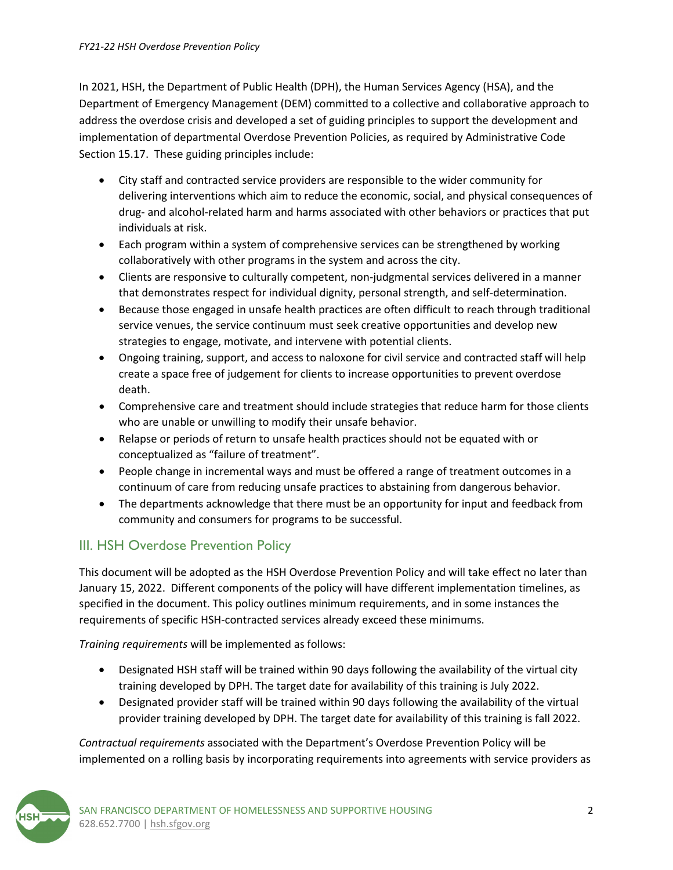In 2021, HSH, the Department of Public Health (DPH), the Human Services Agency (HSA), and the Department of Emergency Management (DEM) committed to a collective and collaborative approach to address the overdose crisis and developed a set of guiding principles to support the development and implementation of departmental Overdose Prevention Policies, as required by Administrative Code Section 15.17. These guiding principles include:

- City staff and contracted service providers are responsible to the wider community for delivering interventions which aim to reduce the economic, social, and physical consequences of drug- and alcohol-related harm and harms associated with other behaviors or practices that put individuals at risk.
- Each program within a system of comprehensive services can be strengthened by working collaboratively with other programs in the system and across the city.
- Clients are responsive to culturally competent, non-judgmental services delivered in a manner that demonstrates respect for individual dignity, personal strength, and self-determination.
- Because those engaged in unsafe health practices are often difficult to reach through traditional service venues, the service continuum must seek creative opportunities and develop new strategies to engage, motivate, and intervene with potential clients.
- Ongoing training, support, and access to naloxone for civil service and contracted staff will help create a space free of judgement for clients to increase opportunities to prevent overdose death.
- Comprehensive care and treatment should include strategies that reduce harm for those clients who are unable or unwilling to modify their unsafe behavior.
- Relapse or periods of return to unsafe health practices should not be equated with or conceptualized as "failure of treatment".
- People change in incremental ways and must be offered a range of treatment outcomes in a continuum of care from reducing unsafe practices to abstaining from dangerous behavior.
- The departments acknowledge that there must be an opportunity for input and feedback from community and consumers for programs to be successful.

# III. HSH Overdose Prevention Policy

This document will be adopted as the HSH Overdose Prevention Policy and will take effect no later than January 15, 2022. Different components of the policy will have different implementation timelines, as specified in the document. This policy outlines minimum requirements, and in some instances the requirements of specific HSH-contracted services already exceed these minimums.

*Training requirements* will be implemented as follows:

- Designated HSH staff will be trained within 90 days following the availability of the virtual city training developed by DPH. The target date for availability of this training is July 2022.
- Designated provider staff will be trained within 90 days following the availability of the virtual provider training developed by DPH. The target date for availability of this training is fall 2022.

*Contractual requirements* associated with the Department's Overdose Prevention Policy will be implemented on a rolling basis by incorporating requirements into agreements with service providers as

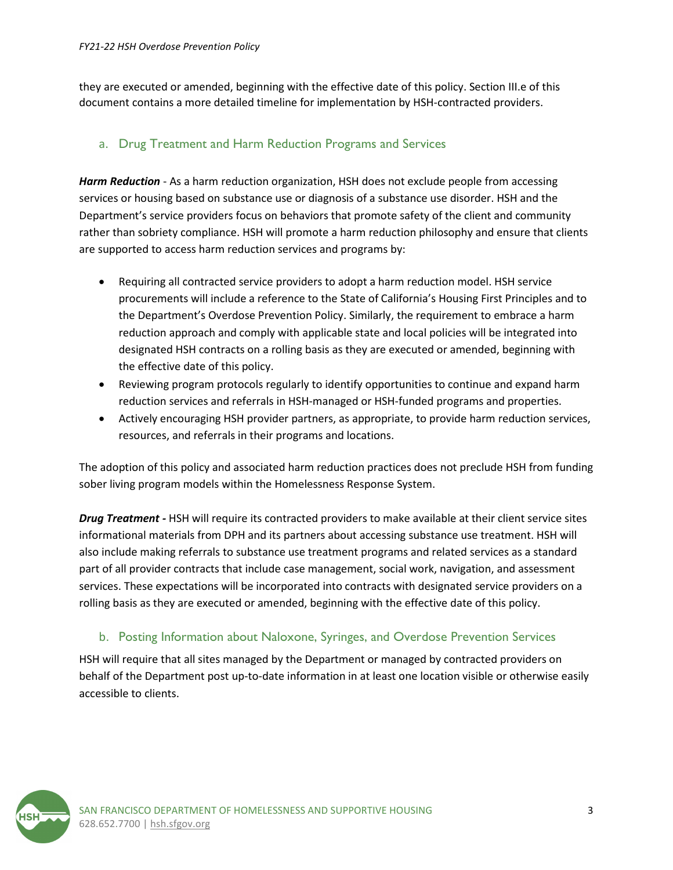they are executed or amended, beginning with the effective date of this policy. Section III.e of this document contains a more detailed timeline for implementation by HSH-contracted providers.

### a. Drug Treatment and Harm Reduction Programs and Services

*Harm Reduction* - As a harm reduction organization, HSH does not exclude people from accessing services or housing based on substance use or diagnosis of a substance use disorder. HSH and the Department's service providers focus on behaviors that promote safety of the client and community rather than sobriety compliance. HSH will promote a harm reduction philosophy and ensure that clients are supported to access harm reduction services and programs by:

- Requiring all contracted service providers to adopt a harm reduction model. HSH service procurements will include a reference to the State of California's Housing First Principles and to the Department's Overdose Prevention Policy. Similarly, the requirement to embrace a harm reduction approach and comply with applicable state and local policies will be integrated into designated HSH contracts on a rolling basis as they are executed or amended, beginning with the effective date of this policy.
- Reviewing program protocols regularly to identify opportunities to continue and expand harm reduction services and referrals in HSH-managed or HSH-funded programs and properties.
- Actively encouraging HSH provider partners, as appropriate, to provide harm reduction services, resources, and referrals in their programs and locations.

The adoption of this policy and associated harm reduction practices does not preclude HSH from funding sober living program models within the Homelessness Response System.

*Drug Treatment -* HSH will require its contracted providers to make available at their client service sites informational materials from DPH and its partners about accessing substance use treatment. HSH will also include making referrals to substance use treatment programs and related services as a standard part of all provider contracts that include case management, social work, navigation, and assessment services. These expectations will be incorporated into contracts with designated service providers on a rolling basis as they are executed or amended, beginning with the effective date of this policy.

#### b. Posting Information about Naloxone, Syringes, and Overdose Prevention Services

HSH will require that all sites managed by the Department or managed by contracted providers on behalf of the Department post up-to-date information in at least one location visible or otherwise easily accessible to clients.

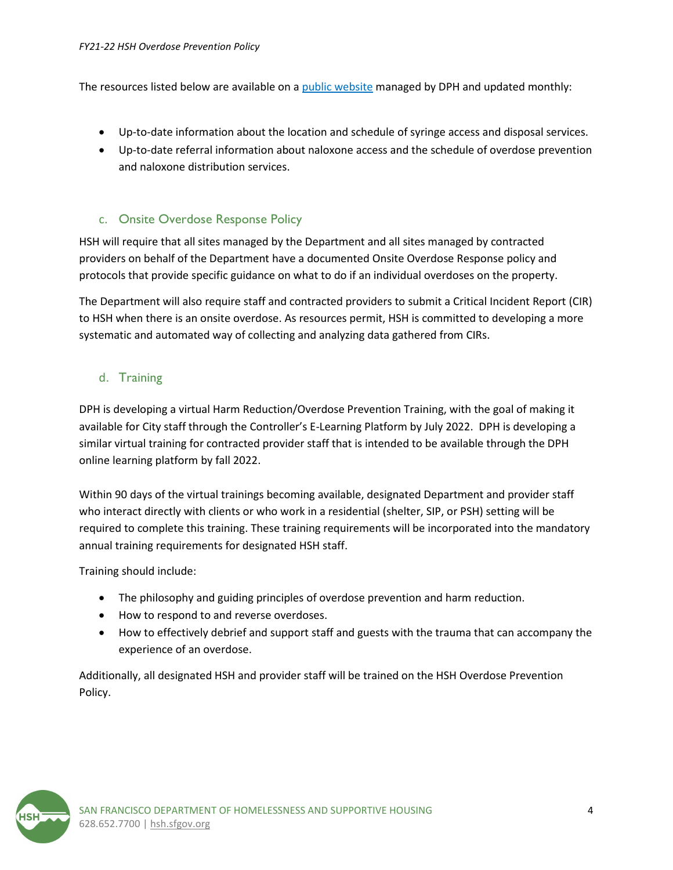The resources listed below are available on [a public website](https://drive.google.com/file/d/1KMvZZtbgYv8z5N2Si4sk5M5kFgkI87Vl/view?emci=34e840ef-db48-ec11-9820-c896653b26c8&emdi=9c72f9da-5249-ec11-9820-c896653b26c8&ceid=9897046) managed by DPH and updated monthly:

- Up-to-date information about the location and schedule of syringe access and disposal services.
- Up-to-date referral information about naloxone access and the schedule of overdose prevention and naloxone distribution services.

#### c. Onsite Overdose Response Policy

HSH will require that all sites managed by the Department and all sites managed by contracted providers on behalf of the Department have a documented Onsite Overdose Response policy and protocols that provide specific guidance on what to do if an individual overdoses on the property.

The Department will also require staff and contracted providers to submit a Critical Incident Report (CIR) to HSH when there is an onsite overdose. As resources permit, HSH is committed to developing a more systematic and automated way of collecting and analyzing data gathered from CIRs.

#### d. Training

DPH is developing a virtual Harm Reduction/Overdose Prevention Training, with the goal of making it available for City staff through the Controller's E-Learning Platform by July 2022. DPH is developing a similar virtual training for contracted provider staff that is intended to be available through the DPH online learning platform by fall 2022.

Within 90 days of the virtual trainings becoming available, designated Department and provider staff who interact directly with clients or who work in a residential (shelter, SIP, or PSH) setting will be required to complete this training. These training requirements will be incorporated into the mandatory annual training requirements for designated HSH staff.

Training should include:

- The philosophy and guiding principles of overdose prevention and harm reduction.
- How to respond to and reverse overdoses.
- How to effectively debrief and support staff and guests with the trauma that can accompany the experience of an overdose.

Additionally, all designated HSH and provider staff will be trained on the HSH Overdose Prevention Policy.